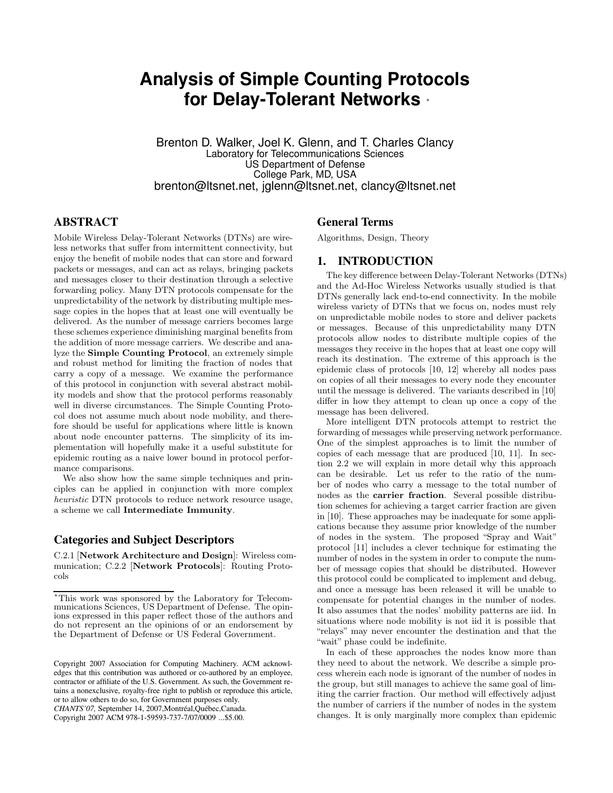# **Analysis of Simple Counting Protocols for Delay-Tolerant Networks** <sup>∗</sup>

Brenton D. Walker, Joel K. Glenn, and T. Charles Clancy Laboratory for Telecommunications Sciences US Department of Defense College Park, MD, USA brenton@ltsnet.net, jglenn@ltsnet.net, clancy@ltsnet.net

# **ABSTRACT**

Mobile Wireless Delay-Tolerant Networks (DTNs) are wireless networks that suffer from intermittent connectivity, but enjoy the benefit of mobile nodes that can store and forward packets or messages, and can act as relays, bringing packets and messages closer to their destination through a selective forwarding policy. Many DTN protocols compensate for the unpredictability of the network by distributing multiple message copies in the hopes that at least one will eventually be delivered. As the number of message carriers becomes large these schemes experience diminishing marginal benefits from the addition of more message carriers. We describe and analyze the Simple Counting Protocol, an extremely simple and robust method for limiting the fraction of nodes that carry a copy of a message. We examine the performance of this protocol in conjunction with several abstract mobility models and show that the protocol performs reasonably well in diverse circumstances. The Simple Counting Protocol does not assume much about node mobility, and therefore should be useful for applications where little is known about node encounter patterns. The simplicity of its implementation will hopefully make it a useful substitute for epidemic routing as a naive lower bound in protocol performance comparisons.

We also show how the same simple techniques and principles can be applied in conjunction with more complex heuristic DTN protocols to reduce network resource usage, a scheme we call Intermediate Immunity.

# **Categories and Subject Descriptors**

C.2.1 [Network Architecture and Design]: Wireless communication; C.2.2 [Network Protocols]: Routing Protocols

*CHANTS'07,* September 14, 2007,Montréal,Québec,Canada.

Copyright 2007 ACM 978-1-59593-737-7/07/0009 ...\$5.00.

# **General Terms**

Algorithms, Design, Theory

# **1. INTRODUCTION**

The key difference between Delay-Tolerant Networks (DTNs) and the Ad-Hoc Wireless Networks usually studied is that DTNs generally lack end-to-end connectivity. In the mobile wireless variety of DTNs that we focus on, nodes must rely on unpredictable mobile nodes to store and deliver packets or messages. Because of this unpredictability many DTN protocols allow nodes to distribute multiple copies of the messages they receive in the hopes that at least one copy will reach its destination. The extreme of this approach is the epidemic class of protocols [10, 12] whereby all nodes pass on copies of all their messages to every node they encounter until the message is delivered. The variants described in [10] differ in how they attempt to clean up once a copy of the message has been delivered.

More intelligent DTN protocols attempt to restrict the forwarding of messages while preserving network performance. One of the simplest approaches is to limit the number of copies of each message that are produced [10, 11]. In section 2.2 we will explain in more detail why this approach can be desirable. Let us refer to the ratio of the number of nodes who carry a message to the total number of nodes as the carrier fraction. Several possible distribution schemes for achieving a target carrier fraction are given in [10]. These approaches may be inadequate for some applications because they assume prior knowledge of the number of nodes in the system. The proposed "Spray and Wait" protocol [11] includes a clever technique for estimating the number of nodes in the system in order to compute the number of message copies that should be distributed. However this protocol could be complicated to implement and debug, and once a message has been released it will be unable to compensate for potential changes in the number of nodes. It also assumes that the nodes' mobility patterns are iid. In situations where node mobility is not iid it is possible that "relays" may never encounter the destination and that the "wait" phase could be indefinite.

In each of these approaches the nodes know more than they need to about the network. We describe a simple process wherein each node is ignorant of the number of nodes in the group, but still manages to achieve the same goal of limiting the carrier fraction. Our method will effectively adjust the number of carriers if the number of nodes in the system changes. It is only marginally more complex than epidemic

<sup>∗</sup>This work was sponsored by the Laboratory for Telecommunications Sciences, US Department of Defense. The opinions expressed in this paper reflect those of the authors and do not represent an the opinions of or an endorsement by the Department of Defense or US Federal Government.

Copyright 2007 Association for Computing Machinery. ACM acknowledges that this contribution was authored or co-authored by an employee, contractor or affiliate of the U.S. Government. As such, the Government retains a nonexclusive, royalty-free right to publish or reproduce this article, or to allow others to do so, for Government purposes only.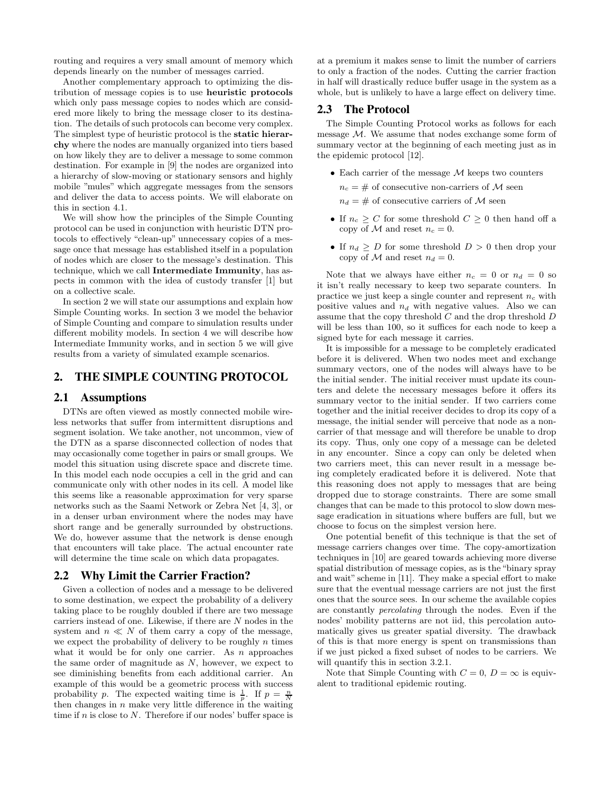routing and requires a very small amount of memory which depends linearly on the number of messages carried.

Another complementary approach to optimizing the distribution of message copies is to use heuristic protocols which only pass message copies to nodes which are considered more likely to bring the message closer to its destination. The details of such protocols can become very complex. The simplest type of heuristic protocol is the static hierarchy where the nodes are manually organized into tiers based on how likely they are to deliver a message to some common destination. For example in [9] the nodes are organized into a hierarchy of slow-moving or stationary sensors and highly mobile "mules" which aggregate messages from the sensors and deliver the data to access points. We will elaborate on this in section 4.1.

We will show how the principles of the Simple Counting protocol can be used in conjunction with heuristic DTN protocols to effectively "clean-up" unnecessary copies of a message once that message has established itself in a population of nodes which are closer to the message's destination. This technique, which we call Intermediate Immunity, has aspects in common with the idea of custody transfer [1] but on a collective scale.

In section 2 we will state our assumptions and explain how Simple Counting works. In section 3 we model the behavior of Simple Counting and compare to simulation results under different mobility models. In section 4 we will describe how Intermediate Immunity works, and in section 5 we will give results from a variety of simulated example scenarios.

# **2. THE SIMPLE COUNTING PROTOCOL**

#### **2.1 Assumptions**

DTNs are often viewed as mostly connected mobile wireless networks that suffer from intermittent disruptions and segment isolation. We take another, not uncommon, view of the DTN as a sparse disconnected collection of nodes that may occasionally come together in pairs or small groups. We model this situation using discrete space and discrete time. In this model each node occupies a cell in the grid and can communicate only with other nodes in its cell. A model like this seems like a reasonable approximation for very sparse networks such as the Saami Network or Zebra Net [4, 3], or in a denser urban environment where the nodes may have short range and be generally surrounded by obstructions. We do, however assume that the network is dense enough that encounters will take place. The actual encounter rate will determine the time scale on which data propagates.

#### **2.2 Why Limit the Carrier Fraction?**

Given a collection of nodes and a message to be delivered to some destination, we expect the probability of a delivery taking place to be roughly doubled if there are two message carriers instead of one. Likewise, if there are N nodes in the system and  $n \ll N$  of them carry a copy of the message, we expect the probability of delivery to be roughly  $n$  times what it would be for only one carrier. As  $n$  approaches the same order of magnitude as  $N$ , however, we expect to see diminishing benefits from each additional carrier. An example of this would be a geometric process with success probability p. The expected waiting time is  $\frac{1}{p}$ . If  $p = \frac{n}{N}$ then changes in  $n$  make very little difference in the waiting time if  $n$  is close to  $N$ . Therefore if our nodes' buffer space is at a premium it makes sense to limit the number of carriers to only a fraction of the nodes. Cutting the carrier fraction in half will drastically reduce buffer usage in the system as a whole, but is unlikely to have a large effect on delivery time.

#### **2.3 The Protocol**

The Simple Counting Protocol works as follows for each message M. We assume that nodes exchange some form of summary vector at the beginning of each meeting just as in the epidemic protocol [12].

- Each carrier of the message  $M$  keeps two counters
	- $n_c = #$  of consecutive non-carriers of M seen
	- $n_d = #$  of consecutive carriers of M seen
- If  $n_c \geq C$  for some threshold  $C \geq 0$  then hand off a copy of M and reset  $n_c = 0$ .
- If  $n_d \geq D$  for some threshold  $D > 0$  then drop your copy of M and reset  $n_d = 0$ .

Note that we always have either  $n_c = 0$  or  $n_d = 0$  so it isn't really necessary to keep two separate counters. In practice we just keep a single counter and represent  $n_c$  with positive values and  $n_d$  with negative values. Also we can assume that the copy threshold C and the drop threshold D will be less than 100, so it suffices for each node to keep a signed byte for each message it carries.

It is impossible for a message to be completely eradicated before it is delivered. When two nodes meet and exchange summary vectors, one of the nodes will always have to be the initial sender. The initial receiver must update its counters and delete the necessary messages before it offers its summary vector to the initial sender. If two carriers come together and the initial receiver decides to drop its copy of a message, the initial sender will perceive that node as a noncarrier of that message and will therefore be unable to drop its copy. Thus, only one copy of a message can be deleted in any encounter. Since a copy can only be deleted when two carriers meet, this can never result in a message being completely eradicated before it is delivered. Note that this reasoning does not apply to messages that are being dropped due to storage constraints. There are some small changes that can be made to this protocol to slow down message eradication in situations where buffers are full, but we choose to focus on the simplest version here.

One potential benefit of this technique is that the set of message carriers changes over time. The copy-amortization techniques in [10] are geared towards achieving more diverse spatial distribution of message copies, as is the"binary spray and wait" scheme in [11]. They make a special effort to make sure that the eventual message carriers are not just the first ones that the source sees. In our scheme the available copies are constantly percolating through the nodes. Even if the nodes' mobility patterns are not iid, this percolation automatically gives us greater spatial diversity. The drawback of this is that more energy is spent on transmissions than if we just picked a fixed subset of nodes to be carriers. We will quantify this in section 3.2.1.

Note that Simple Counting with  $C = 0$ ,  $D = \infty$  is equivalent to traditional epidemic routing.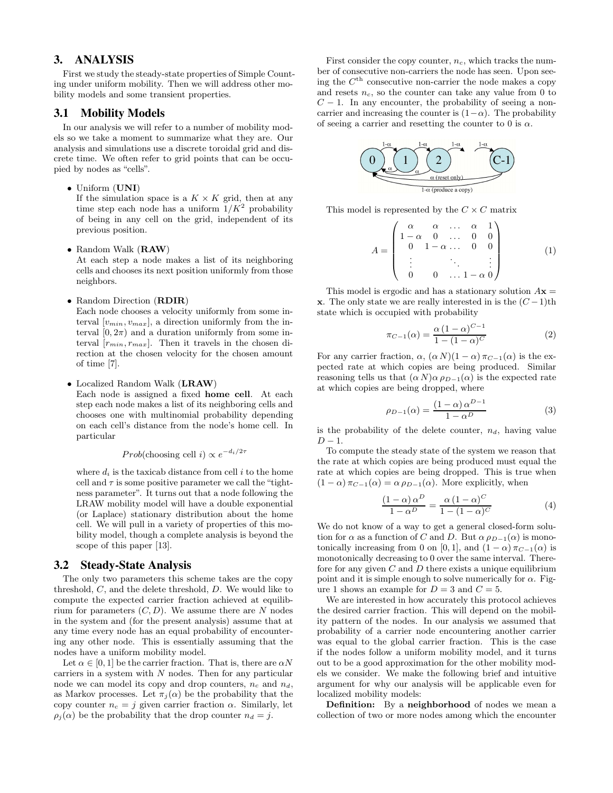# **3. ANALYSIS**

First we study the steady-state properties of Simple Counting under uniform mobility. Then we will address other mobility models and some transient properties.

#### **3.1 Mobility Models**

In our analysis we will refer to a number of mobility models so we take a moment to summarize what they are. Our analysis and simulations use a discrete toroidal grid and discrete time. We often refer to grid points that can be occupied by nodes as "cells".

• Uniform (UNI)

If the simulation space is a  $K \times K$  grid, then at any time step each node has a uniform  $1/K^2$  probability of being in any cell on the grid, independent of its previous position.

• Random Walk (RAW)

At each step a node makes a list of its neighboring cells and chooses its next position uniformly from those neighbors.

• Random Direction (RDIR)

Each node chooses a velocity uniformly from some interval  $[v_{min}, v_{max}]$ , a direction uniformly from the interval  $[0, 2\pi)$  and a duration uniformly from some interval  $[r_{min}, r_{max}]$ . Then it travels in the chosen direction at the chosen velocity for the chosen amount of time [7].

• Localized Random Walk (LRAW)

Each node is assigned a fixed home cell. At each step each node makes a list of its neighboring cells and chooses one with multinomial probability depending on each cell's distance from the node's home cell. In particular

*Prob*(choosing cell *i*) 
$$
\propto e^{-d_i/2\tau}
$$

where  $d_i$  is the taxicab distance from cell i to the home cell and  $\tau$  is some positive parameter we call the "tightness parameter". It turns out that a node following the LRAW mobility model will have a double exponential (or Laplace) stationary distribution about the home cell. We will pull in a variety of properties of this mobility model, though a complete analysis is beyond the scope of this paper [13].

#### **3.2 Steady-State Analysis**

The only two parameters this scheme takes are the copy threshold, C, and the delete threshold, D. We would like to compute the expected carrier fraction achieved at equilibrium for parameters  $(C, D)$ . We assume there are N nodes in the system and (for the present analysis) assume that at any time every node has an equal probability of encountering any other node. This is essentially assuming that the nodes have a uniform mobility model.

Let  $\alpha \in [0, 1]$  be the carrier fraction. That is, there are  $\alpha N$ carriers in a system with  $N$  nodes. Then for any particular node we can model its copy and drop counters,  $n_c$  and  $n_d$ , as Markov processes. Let  $\pi_j(\alpha)$  be the probability that the copy counter  $n_c = j$  given carrier fraction  $\alpha$ . Similarly, let  $\rho_j(\alpha)$  be the probability that the drop counter  $n_d = j$ .

First consider the copy counter,  $n_c$ , which tracks the number of consecutive non-carriers the node has seen. Upon seeing the  $C^{\text{th}}$  consecutive non-carrier the node makes a copy and resets  $n_c$ , so the counter can take any value from 0 to  $C - 1$ . In any encounter, the probability of seeing a noncarrier and increasing the counter is  $(1-\alpha)$ . The probability of seeing a carrier and resetting the counter to 0 is  $\alpha$ .



This model is represented by the  $C \times C$  matrix

$$
A = \begin{pmatrix} \alpha & \alpha & \dots & \alpha & 1 \\ 1 - \alpha & 0 & \dots & 0 & 0 \\ 0 & 1 - \alpha & \dots & 0 & 0 \\ \vdots & & & \ddots & & \vdots \\ 0 & 0 & \dots & 1 - \alpha & 0 \end{pmatrix}
$$
 (1)

This model is ergodic and has a stationary solution  $A\mathbf{x} =$ x. The only state we are really interested in is the  $(C-1)$ th state which is occupied with probability

$$
\pi_{C-1}(\alpha) = \frac{\alpha (1 - \alpha)^{C-1}}{1 - (1 - \alpha)^C}
$$
 (2)

For any carrier fraction,  $\alpha$ ,  $(\alpha N)(1 - \alpha) \pi_{C-1}(\alpha)$  is the expected rate at which copies are being produced. Similar reasoning tells us that  $(\alpha N) \alpha \rho_{D-1}(\alpha)$  is the expected rate at which copies are being dropped, where

$$
\rho_{D-1}(\alpha) = \frac{(1-\alpha)\,\alpha^{D-1}}{1-\alpha^D} \tag{3}
$$

is the probability of the delete counter,  $n_d$ , having value  $D-1$ .

To compute the steady state of the system we reason that the rate at which copies are being produced must equal the rate at which copies are being dropped. This is true when  $(1 - \alpha) \pi_{C-1}(\alpha) = \alpha \rho_{D-1}(\alpha)$ . More explicitly, when

$$
\frac{(1-\alpha)\alpha^D}{1-\alpha^D} = \frac{\alpha\,(1-\alpha)^C}{1-(1-\alpha)^C} \tag{4}
$$

We do not know of a way to get a general closed-form solution for  $\alpha$  as a function of C and D. But  $\alpha \rho_{D-1}(\alpha)$  is monotonically increasing from 0 on [0, 1], and  $(1 - \alpha) \pi_{C-1}(\alpha)$  is monotonically decreasing to 0 over the same interval. Therefore for any given  $C$  and  $D$  there exists a unique equilibrium point and it is simple enough to solve numerically for  $\alpha$ . Figure 1 shows an example for  $D = 3$  and  $C = 5$ .

We are interested in how accurately this protocol achieves the desired carrier fraction. This will depend on the mobility pattern of the nodes. In our analysis we assumed that probability of a carrier node encountering another carrier was equal to the global carrier fraction. This is the case if the nodes follow a uniform mobility model, and it turns out to be a good approximation for the other mobility models we consider. We make the following brief and intuitive argument for why our analysis will be applicable even for localized mobility models:

Definition: By a neighborhood of nodes we mean a collection of two or more nodes among which the encounter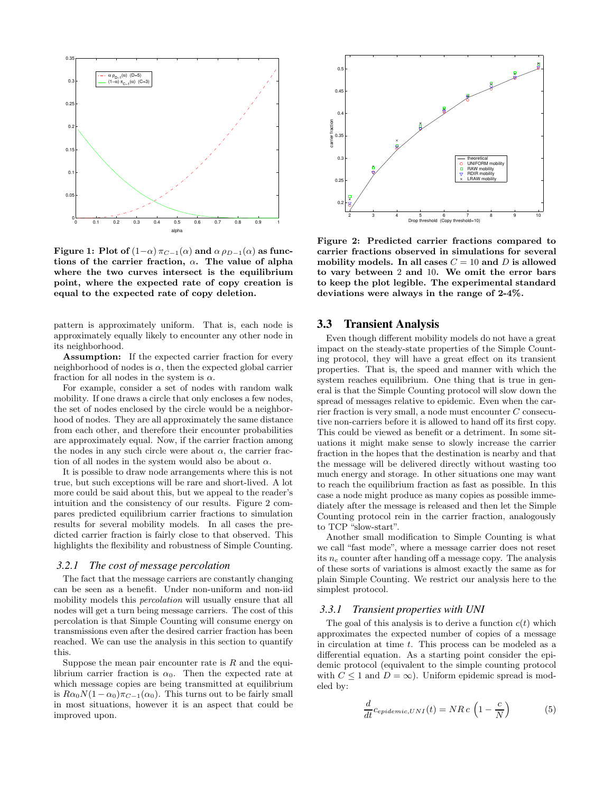

Figure 1: Plot of  $(1-\alpha)\pi_{C-1}(\alpha)$  and  $\alpha \rho_{D-1}(\alpha)$  as functions of the carrier fraction,  $\alpha$ . The value of alpha where the two curves intersect is the equilibrium point, where the expected rate of copy creation is equal to the expected rate of copy deletion.

pattern is approximately uniform. That is, each node is approximately equally likely to encounter any other node in its neighborhood.

Assumption: If the expected carrier fraction for every neighborhood of nodes is  $\alpha$ , then the expected global carrier fraction for all nodes in the system is  $\alpha$ .

For example, consider a set of nodes with random walk mobility. If one draws a circle that only encloses a few nodes, the set of nodes enclosed by the circle would be a neighborhood of nodes. They are all approximately the same distance from each other, and therefore their encounter probabilities are approximately equal. Now, if the carrier fraction among the nodes in any such circle were about  $\alpha$ , the carrier fraction of all nodes in the system would also be about  $\alpha$ .

It is possible to draw node arrangements where this is not true, but such exceptions will be rare and short-lived. A lot more could be said about this, but we appeal to the reader's intuition and the consistency of our results. Figure 2 compares predicted equilibrium carrier fractions to simulation results for several mobility models. In all cases the predicted carrier fraction is fairly close to that observed. This highlights the flexibility and robustness of Simple Counting.

#### *3.2.1 The cost of message percolation*

The fact that the message carriers are constantly changing can be seen as a benefit. Under non-uniform and non-iid mobility models this *percolation* will usually ensure that all nodes will get a turn being message carriers. The cost of this percolation is that Simple Counting will consume energy on transmissions even after the desired carrier fraction has been reached. We can use the analysis in this section to quantify this.

Suppose the mean pair encounter rate is  $R$  and the equilibrium carrier fraction is  $\alpha_0$ . Then the expected rate at which message copies are being transmitted at equilibrium is  $R\alpha_0 N(1-\alpha_0)\pi_{C-1}(\alpha_0)$ . This turns out to be fairly small in most situations, however it is an aspect that could be improved upon.



Figure 2: Predicted carrier fractions compared to carrier fractions observed in simulations for several mobility models. In all cases  $C = 10$  and D is allowed to vary between 2 and 10. We omit the error bars to keep the plot legible. The experimental standard deviations were always in the range of 2-4%.

# **3.3 Transient Analysis**

Even though different mobility models do not have a great impact on the steady-state properties of the Simple Counting protocol, they will have a great effect on its transient properties. That is, the speed and manner with which the system reaches equilibrium. One thing that is true in general is that the Simple Counting protocol will slow down the spread of messages relative to epidemic. Even when the carrier fraction is very small, a node must encounter C consecutive non-carriers before it is allowed to hand off its first copy. This could be viewed as benefit or a detriment. In some situations it might make sense to slowly increase the carrier fraction in the hopes that the destination is nearby and that the message will be delivered directly without wasting too much energy and storage. In other situations one may want to reach the equilibrium fraction as fast as possible. In this case a node might produce as many copies as possible immediately after the message is released and then let the Simple Counting protocol rein in the carrier fraction, analogously to TCP "slow-start".

Another small modification to Simple Counting is what we call "fast mode", where a message carrier does not reset its  $n_c$  counter after handing off a message copy. The analysis of these sorts of variations is almost exactly the same as for plain Simple Counting. We restrict our analysis here to the simplest protocol.

#### *3.3.1 Transient properties with UNI*

The goal of this analysis is to derive a function  $c(t)$  which approximates the expected number of copies of a message in circulation at time t. This process can be modeled as a differential equation. As a starting point consider the epidemic protocol (equivalent to the simple counting protocol with  $C \leq 1$  and  $D = \infty$ ). Uniform epidemic spread is modeled by:

$$
\frac{d}{dt}c_{epidemic,UNI}(t) = NRc\left(1 - \frac{c}{N}\right)
$$
\n(5)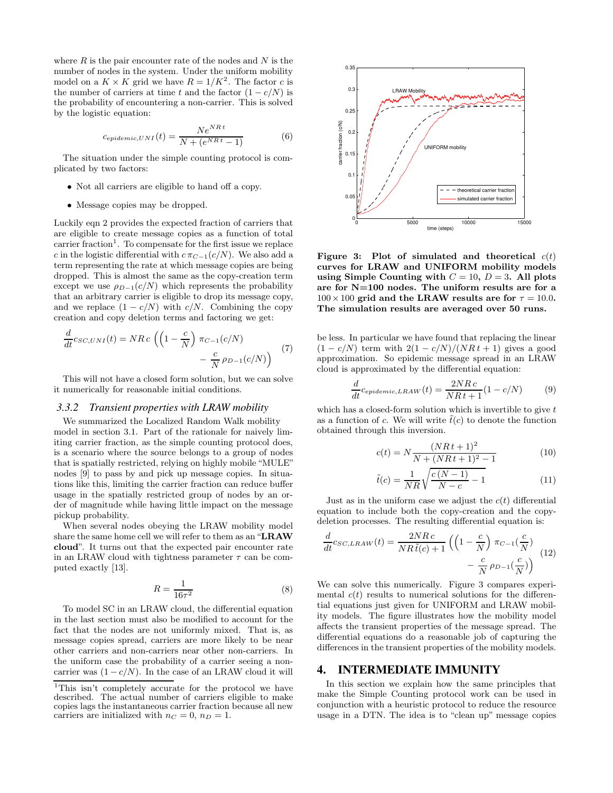where  $R$  is the pair encounter rate of the nodes and  $N$  is the number of nodes in the system. Under the uniform mobility model on a  $K \times K$  grid we have  $R = 1/K^2$ . The factor c is the number of carriers at time t and the factor  $(1 - c/N)$  is the probability of encountering a non-carrier. This is solved by the logistic equation:

$$
c_{epidemic,UNI}(t) = \frac{Ne^{NRt}}{N + (e^{NRt} - 1)}
$$
(6)

The situation under the simple counting protocol is complicated by two factors:

- Not all carriers are eligible to hand off a copy.
- Message copies may be dropped.

Luckily eqn 2 provides the expected fraction of carriers that are eligible to create message copies as a function of total carrier fraction<sup>1</sup>. To compensate for the first issue we replace c in the logistic differential with  $c \pi_{C-1}(c/N)$ . We also add a term representing the rate at which message copies are being dropped. This is almost the same as the copy-creation term except we use  $\rho_{D-1}(c/N)$  which represents the probability that an arbitrary carrier is eligible to drop its message copy, and we replace  $(1 - c/N)$  with  $c/N$ . Combining the copy creation and copy deletion terms and factoring we get:

$$
\frac{d}{dt}c_{SC,UNI}(t) = NRc\left(\left(1-\frac{c}{N}\right)\pi_{C-1}(c/N)\right) - \frac{c}{N}\rho_{D-1}(c/N)\right) \tag{7}
$$

This will not have a closed form solution, but we can solve it numerically for reasonable initial conditions.

#### *3.3.2 Transient properties with LRAW mobility*

We summarized the Localized Random Walk mobility model in section 3.1. Part of the rationale for naively limiting carrier fraction, as the simple counting protocol does, is a scenario where the source belongs to a group of nodes that is spatially restricted, relying on highly mobile "MULE" nodes [9] to pass by and pick up message copies. In situations like this, limiting the carrier fraction can reduce buffer usage in the spatially restricted group of nodes by an order of magnitude while having little impact on the message pickup probability.

When several nodes obeying the LRAW mobility model share the same home cell we will refer to them as an"LRAW cloud". It turns out that the expected pair encounter rate in an LRAW cloud with tightness parameter  $\tau$  can be computed exactly [13].

$$
R = \frac{1}{16\tau^2} \tag{8}
$$

To model SC in an LRAW cloud, the differential equation in the last section must also be modified to account for the fact that the nodes are not uniformly mixed. That is, as message copies spread, carriers are more likely to be near other carriers and non-carriers near other non-carriers. In the uniform case the probability of a carrier seeing a noncarrier was  $(1 - c/N)$ . In the case of an LRAW cloud it will



Figure 3: Plot of simulated and theoretical  $c(t)$ curves for LRAW and UNIFORM mobility models using Simple Counting with  $C = 10$ ,  $D = 3$ . All plots are for N=100 nodes. The uniform results are for a  $100 \times 100$  grid and the LRAW results are for  $\tau = 10.0$ . The simulation results are averaged over 50 runs.

be less. In particular we have found that replacing the linear  $(1 - c/N)$  term with  $2(1 - c/N)/(NR t + 1)$  gives a good approximation. So epidemic message spread in an LRAW cloud is approximated by the differential equation:

$$
\frac{d}{dt}c_{epidemic,LRAW}(t) = \frac{2NRc}{NRt+1}(1-c/N)
$$
(9)

which has a closed-form solution which is invertible to give  $t$ as a function of c. We will write  $\tilde{t}(c)$  to denote the function obtained through this inversion.

$$
c(t) = N \frac{(NR t + 1)^2}{N + (NR t + 1)^2 - 1}
$$
\n(10)

$$
\tilde{t}(c) = \frac{1}{NR} \sqrt{\frac{c(N-1)}{N-c} - 1} \tag{11}
$$

Just as in the uniform case we adjust the  $c(t)$  differential equation to include both the copy-creation and the copydeletion processes. The resulting differential equation is:

$$
\frac{d}{dt}c_{SC,LRAW}(t) = \frac{2NRc}{NR\tilde{t}(c) + 1} \left( \left( 1 - \frac{c}{N} \right) \pi_{C-1}(\frac{c}{N}) - \frac{c}{N} \rho_{D-1}(\frac{c}{N}) \right)
$$
(12)

We can solve this numerically. Figure 3 compares experimental  $c(t)$  results to numerical solutions for the differential equations just given for UNIFORM and LRAW mobility models. The figure illustrates how the mobility model affects the transient properties of the message spread. The differential equations do a reasonable job of capturing the differences in the transient properties of the mobility models.

## **4. INTERMEDIATE IMMUNITY**

In this section we explain how the same principles that make the Simple Counting protocol work can be used in conjunction with a heuristic protocol to reduce the resource usage in a DTN. The idea is to "clean up" message copies

<sup>&</sup>lt;sup>1</sup>This isn't completely accurate for the protocol we have described. The actual number of carriers eligible to make copies lags the instantaneous carrier fraction because all new carriers are initialized with  $n_C = 0$ ,  $n_D = 1$ .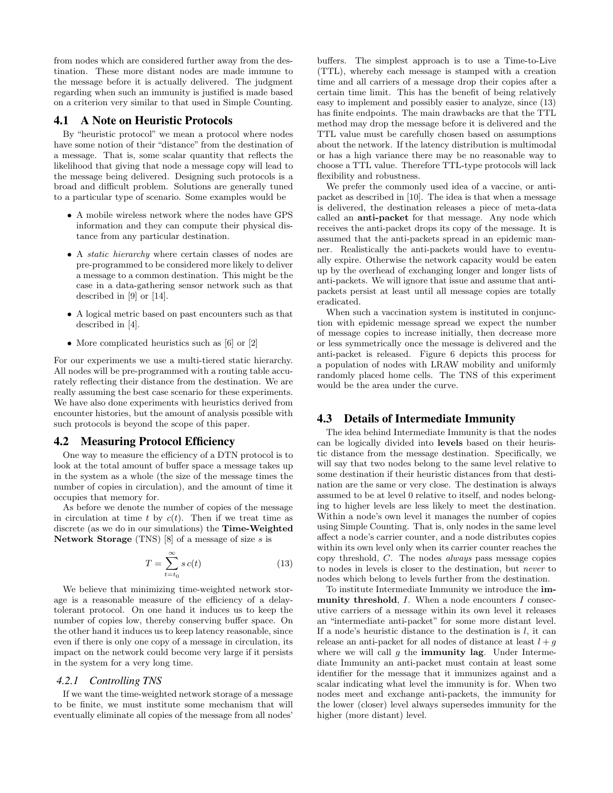from nodes which are considered further away from the destination. These more distant nodes are made immune to the message before it is actually delivered. The judgment regarding when such an immunity is justified is made based on a criterion very similar to that used in Simple Counting.

## **4.1 A Note on Heuristic Protocols**

By "heuristic protocol" we mean a protocol where nodes have some notion of their "distance" from the destination of a message. That is, some scalar quantity that reflects the likelihood that giving that node a message copy will lead to the message being delivered. Designing such protocols is a broad and difficult problem. Solutions are generally tuned to a particular type of scenario. Some examples would be

- A mobile wireless network where the nodes have GPS information and they can compute their physical distance from any particular destination.
- A *static hierarchy* where certain classes of nodes are pre-programmed to be considered more likely to deliver a message to a common destination. This might be the case in a data-gathering sensor network such as that described in [9] or [14].
- A logical metric based on past encounters such as that described in [4].
- More complicated heuristics such as [6] or [2]

For our experiments we use a multi-tiered static hierarchy. All nodes will be pre-programmed with a routing table accurately reflecting their distance from the destination. We are really assuming the best case scenario for these experiments. We have also done experiments with heuristics derived from encounter histories, but the amount of analysis possible with such protocols is beyond the scope of this paper.

# **4.2 Measuring Protocol Efficiency**

One way to measure the efficiency of a DTN protocol is to look at the total amount of buffer space a message takes up in the system as a whole (the size of the message times the number of copies in circulation), and the amount of time it occupies that memory for.

As before we denote the number of copies of the message in circulation at time t by  $c(t)$ . Then if we treat time as discrete (as we do in our simulations) the Time-Weighted Network Storage (TNS) [8] of a message of size  $s$  is

$$
T = \sum_{t=t_0}^{\infty} s \, c(t) \tag{13}
$$

We believe that minimizing time-weighted network storage is a reasonable measure of the efficiency of a delaytolerant protocol. On one hand it induces us to keep the number of copies low, thereby conserving buffer space. On the other hand it induces us to keep latency reasonable, since even if there is only one copy of a message in circulation, its impact on the network could become very large if it persists in the system for a very long time.

#### *4.2.1 Controlling TNS*

If we want the time-weighted network storage of a message to be finite, we must institute some mechanism that will eventually eliminate all copies of the message from all nodes'

buffers. The simplest approach is to use a Time-to-Live (TTL), whereby each message is stamped with a creation time and all carriers of a message drop their copies after a certain time limit. This has the benefit of being relatively easy to implement and possibly easier to analyze, since (13) has finite endpoints. The main drawbacks are that the TTL method may drop the message before it is delivered and the TTL value must be carefully chosen based on assumptions about the network. If the latency distribution is multimodal or has a high variance there may be no reasonable way to choose a TTL value. Therefore TTL-type protocols will lack flexibility and robustness.

We prefer the commonly used idea of a vaccine, or antipacket as described in [10]. The idea is that when a message is delivered, the destination releases a piece of meta-data called an anti-packet for that message. Any node which receives the anti-packet drops its copy of the message. It is assumed that the anti-packets spread in an epidemic manner. Realistically the anti-packets would have to eventually expire. Otherwise the network capacity would be eaten up by the overhead of exchanging longer and longer lists of anti-packets. We will ignore that issue and assume that antipackets persist at least until all message copies are totally eradicated.

When such a vaccination system is instituted in conjunction with epidemic message spread we expect the number of message copies to increase initially, then decrease more or less symmetrically once the message is delivered and the anti-packet is released. Figure 6 depicts this process for a population of nodes with LRAW mobility and uniformly randomly placed home cells. The TNS of this experiment would be the area under the curve.

# **4.3 Details of Intermediate Immunity**

The idea behind Intermediate Immunity is that the nodes can be logically divided into levels based on their heuristic distance from the message destination. Specifically, we will say that two nodes belong to the same level relative to some destination if their heuristic distances from that destination are the same or very close. The destination is always assumed to be at level 0 relative to itself, and nodes belonging to higher levels are less likely to meet the destination. Within a node's own level it manages the number of copies using Simple Counting. That is, only nodes in the same level affect a node's carrier counter, and a node distributes copies within its own level only when its carrier counter reaches the copy threshold, C. The nodes always pass message copies to nodes in levels is closer to the destination, but never to nodes which belong to levels further from the destination.

To institute Intermediate Immunity we introduce the immunity threshold,  $I$ . When a node encounters  $I$  consecutive carriers of a message within its own level it releases an "intermediate anti-packet" for some more distant level. If a node's heuristic distance to the destination is  $l$ , it can release an anti-packet for all nodes of distance at least  $l + g$ where we will call q the **immunity lag**. Under Intermediate Immunity an anti-packet must contain at least some identifier for the message that it immunizes against and a scalar indicating what level the immunity is for. When two nodes meet and exchange anti-packets, the immunity for the lower (closer) level always supersedes immunity for the higher (more distant) level.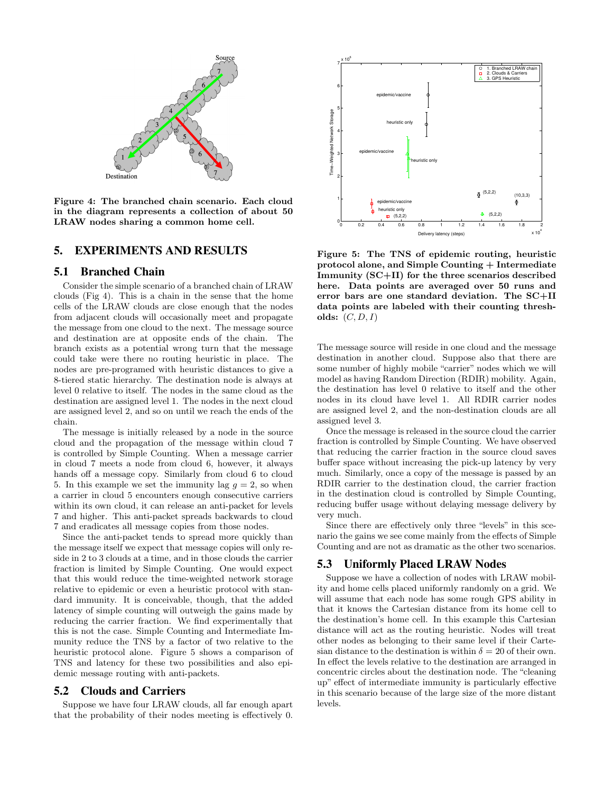

Figure 4: The branched chain scenario. Each cloud in the diagram represents a collection of about 50 LRAW nodes sharing a common home cell.

# **5. EXPERIMENTS AND RESULTS**

#### **5.1 Branched Chain**

Consider the simple scenario of a branched chain of LRAW clouds (Fig 4). This is a chain in the sense that the home cells of the LRAW clouds are close enough that the nodes from adjacent clouds will occasionally meet and propagate the message from one cloud to the next. The message source and destination are at opposite ends of the chain. The branch exists as a potential wrong turn that the message could take were there no routing heuristic in place. The nodes are pre-programed with heuristic distances to give a 8-tiered static hierarchy. The destination node is always at level 0 relative to itself. The nodes in the same cloud as the destination are assigned level 1. The nodes in the next cloud are assigned level 2, and so on until we reach the ends of the chain.

The message is initially released by a node in the source cloud and the propagation of the message within cloud 7 is controlled by Simple Counting. When a message carrier in cloud 7 meets a node from cloud 6, however, it always hands off a message copy. Similarly from cloud 6 to cloud 5. In this example we set the immunity lag  $g = 2$ , so when a carrier in cloud 5 encounters enough consecutive carriers within its own cloud, it can release an anti-packet for levels 7 and higher. This anti-packet spreads backwards to cloud 7 and eradicates all message copies from those nodes.

Since the anti-packet tends to spread more quickly than the message itself we expect that message copies will only reside in 2 to 3 clouds at a time, and in those clouds the carrier fraction is limited by Simple Counting. One would expect that this would reduce the time-weighted network storage relative to epidemic or even a heuristic protocol with standard immunity. It is conceivable, though, that the added latency of simple counting will outweigh the gains made by reducing the carrier fraction. We find experimentally that this is not the case. Simple Counting and Intermediate Immunity reduce the TNS by a factor of two relative to the heuristic protocol alone. Figure 5 shows a comparison of TNS and latency for these two possibilities and also epidemic message routing with anti-packets.

#### **5.2 Clouds and Carriers**

Suppose we have four LRAW clouds, all far enough apart that the probability of their nodes meeting is effectively 0.



Figure 5: The TNS of epidemic routing, heuristic protocol alone, and Simple Counting + Intermediate Immunity (SC+II) for the three scenarios described here. Data points are averaged over 50 runs and error bars are one standard deviation. The SC+II data points are labeled with their counting thresholds:  $(C, D, I)$ 

The message source will reside in one cloud and the message destination in another cloud. Suppose also that there are some number of highly mobile "carrier" nodes which we will model as having Random Direction (RDIR) mobility. Again, the destination has level 0 relative to itself and the other nodes in its cloud have level 1. All RDIR carrier nodes are assigned level 2, and the non-destination clouds are all assigned level 3.

Once the message is released in the source cloud the carrier fraction is controlled by Simple Counting. We have observed that reducing the carrier fraction in the source cloud saves buffer space without increasing the pick-up latency by very much. Similarly, once a copy of the message is passed by an RDIR carrier to the destination cloud, the carrier fraction in the destination cloud is controlled by Simple Counting, reducing buffer usage without delaying message delivery by very much.

Since there are effectively only three "levels" in this scenario the gains we see come mainly from the effects of Simple Counting and are not as dramatic as the other two scenarios.

## **5.3 Uniformly Placed LRAW Nodes**

Suppose we have a collection of nodes with LRAW mobility and home cells placed uniformly randomly on a grid. We will assume that each node has some rough GPS ability in that it knows the Cartesian distance from its home cell to the destination's home cell. In this example this Cartesian distance will act as the routing heuristic. Nodes will treat other nodes as belonging to their same level if their Cartesian distance to the destination is within  $\delta = 20$  of their own. In effect the levels relative to the destination are arranged in concentric circles about the destination node. The "cleaning up" effect of intermediate immunity is particularly effective in this scenario because of the large size of the more distant levels.